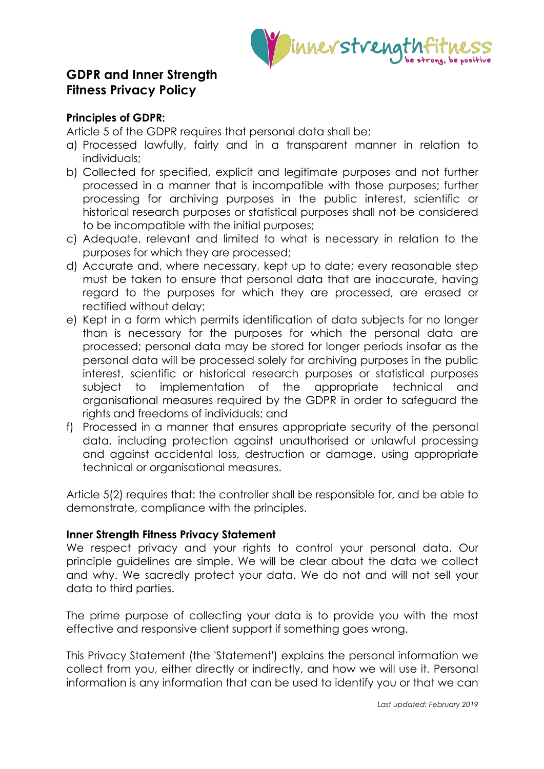

# **GDPR and Inner Strength Fitness Privacy Policy**

# **Principles of GDPR:**

Article 5 of the GDPR requires that personal data shall be:

- a) Processed lawfully, fairly and in a transparent manner in relation to individuals;
- b) Collected for specified, explicit and legitimate purposes and not further processed in a manner that is incompatible with those purposes; further processing for archiving purposes in the public interest, scientific or historical research purposes or statistical purposes shall not be considered to be incompatible with the initial purposes;
- c) Adequate, relevant and limited to what is necessary in relation to the purposes for which they are processed;
- d) Accurate and, where necessary, kept up to date; every reasonable step must be taken to ensure that personal data that are inaccurate, having regard to the purposes for which they are processed, are erased or rectified without delay;
- e) Kept in a form which permits identification of data subjects for no longer than is necessary for the purposes for which the personal data are processed; personal data may be stored for longer periods insofar as the personal data will be processed solely for archiving purposes in the public interest, scientific or historical research purposes or statistical purposes subject to implementation of the appropriate technical and organisational measures required by the GDPR in order to safeguard the rights and freedoms of individuals; and
- f) Processed in a manner that ensures appropriate security of the personal data, including protection against unauthorised or unlawful processing and against accidental loss, destruction or damage, using appropriate technical or organisational measures.

Article 5(2) requires that: the controller shall be responsible for, and be able to demonstrate, compliance with the principles.

# **Inner Strength Fitness Privacy Statement**

We respect privacy and your rights to control your personal data. Our principle guidelines are simple. We will be clear about the data we collect and why. We sacredly protect your data. We do not and will not sell your data to third parties.

The prime purpose of collecting your data is to provide you with the most effective and responsive client support if something goes wrong.

This Privacy Statement (the 'Statement') explains the personal information we collect from you, either directly or indirectly, and how we will use it. Personal information is any information that can be used to identify you or that we can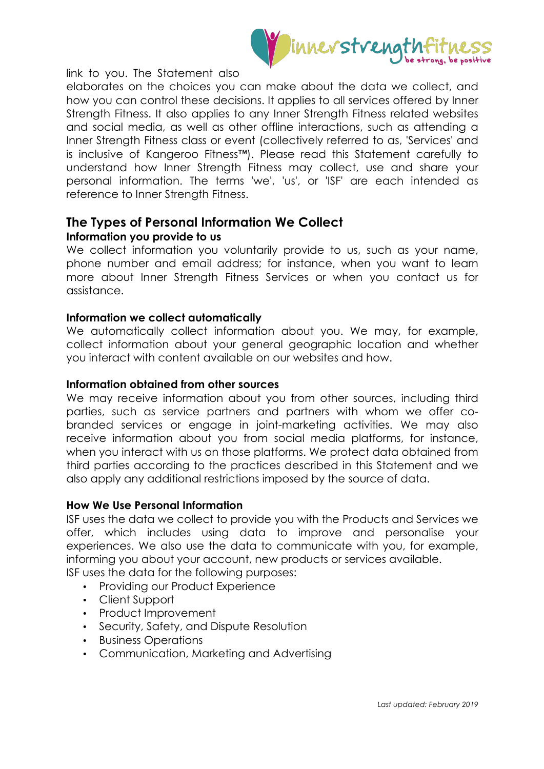

link to you. The Statement also

elaborates on the choices you can make about the data we collect, and how you can control these decisions. It applies to all services offered by Inner Strength Fitness. It also applies to any Inner Strength Fitness related websites and social media, as well as other offline interactions, such as attending a Inner Strength Fitness class or event (collectively referred to as, 'Services' and is inclusive of Kangeroo Fitness™). Please read this Statement carefully to understand how Inner Strength Fitness may collect, use and share your personal information. The terms 'we', 'us', or 'ISF' are each intended as reference to Inner Strength Fitness.

# **The Types of Personal Information We Collect**

## **Information you provide to us**

We collect information you voluntarily provide to us, such as your name, phone number and email address; for instance, when you want to learn more about Inner Strength Fitness Services or when you contact us for assistance.

## **Information we collect automatically**

We automatically collect information about you. We may, for example, collect information about your general geographic location and whether you interact with content available on our websites and how.

#### **Information obtained from other sources**

We may receive information about you from other sources, including third parties, such as service partners and partners with whom we offer cobranded services or engage in joint-marketing activities. We may also receive information about you from social media platforms, for instance, when you interact with us on those platforms. We protect data obtained from third parties according to the practices described in this Statement and we also apply any additional restrictions imposed by the source of data.

## **How We Use Personal Information**

ISF uses the data we collect to provide you with the Products and Services we offer, which includes using data to improve and personalise your experiences. We also use the data to communicate with you, for example, informing you about your account, new products or services available.

- ISF uses the data for the following purposes:
	- Providing our Product Experience
	- Client Support
	- Product Improvement
	- Security, Safety, and Dispute Resolution
	- Business Operations
	- Communication, Marketing and Advertising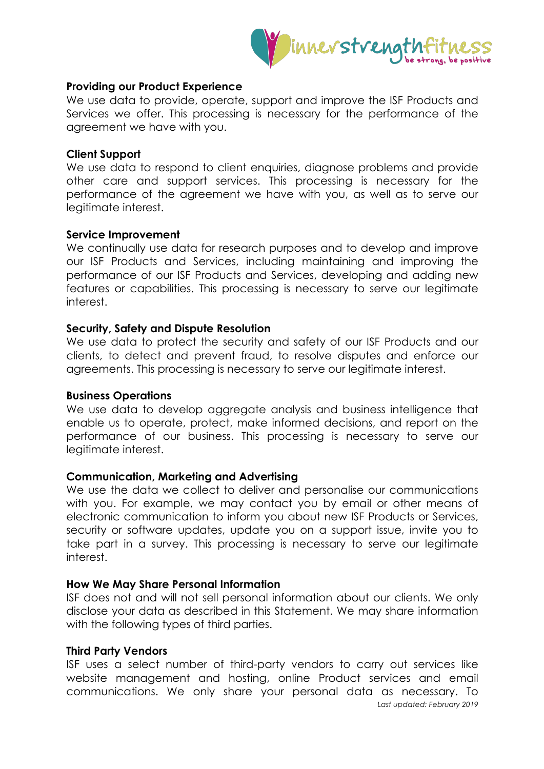

## **Providing our Product Experience**

We use data to provide, operate, support and improve the ISF Products and Services we offer. This processing is necessary for the performance of the agreement we have with you.

#### **Client Support**

We use data to respond to client enquiries, diagnose problems and provide other care and support services. This processing is necessary for the performance of the agreement we have with you, as well as to serve our legitimate interest.

#### **Service Improvement**

We continually use data for research purposes and to develop and improve our ISF Products and Services, including maintaining and improving the performance of our ISF Products and Services, developing and adding new features or capabilities. This processing is necessary to serve our legitimate interest.

#### **Security, Safety and Dispute Resolution**

We use data to protect the security and safety of our ISF Products and our clients, to detect and prevent fraud, to resolve disputes and enforce our agreements. This processing is necessary to serve our legitimate interest.

#### **Business Operations**

We use data to develop aggregate analysis and business intelligence that enable us to operate, protect, make informed decisions, and report on the performance of our business. This processing is necessary to serve our legitimate interest.

## **Communication, Marketing and Advertising**

We use the data we collect to deliver and personalise our communications with you. For example, we may contact you by email or other means of electronic communication to inform you about new ISF Products or Services, security or software updates, update you on a support issue, invite you to take part in a survey. This processing is necessary to serve our legitimate interest.

#### **How We May Share Personal Information**

ISF does not and will not sell personal information about our clients. We only disclose your data as described in this Statement. We may share information with the following types of third parties.

#### **Third Party Vendors**

*Last updated: February 2019* ISF uses a select number of third-party vendors to carry out services like website management and hosting, online Product services and email communications. We only share your personal data as necessary. To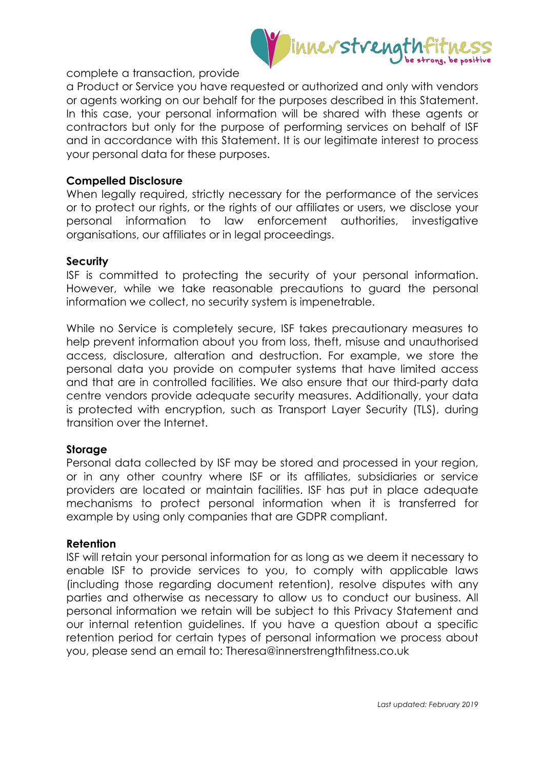

#### complete a transaction, provide

a Product or Service you have requested or authorized and only with vendors or agents working on our behalf for the purposes described in this Statement. In this case, your personal information will be shared with these agents or contractors but only for the purpose of performing services on behalf of ISF and in accordance with this Statement. It is our legitimate interest to process your personal data for these purposes.

#### **Compelled Disclosure**

When legally required, strictly necessary for the performance of the services or to protect our rights, or the rights of our affiliates or users, we disclose your personal information to law enforcement authorities, investigative organisations, our affiliates or in legal proceedings.

#### **Security**

ISF is committed to protecting the security of your personal information. However, while we take reasonable precautions to guard the personal information we collect, no security system is impenetrable.

While no Service is completely secure, ISF takes precautionary measures to help prevent information about you from loss, theft, misuse and unauthorised access, disclosure, alteration and destruction. For example, we store the personal data you provide on computer systems that have limited access and that are in controlled facilities. We also ensure that our third-party data centre vendors provide adequate security measures. Additionally, your data is protected with encryption, such as Transport Layer Security (TLS), during transition over the Internet.

## **Storage**

Personal data collected by ISF may be stored and processed in your region, or in any other country where ISF or its affiliates, subsidiaries or service providers are located or maintain facilities. ISF has put in place adequate mechanisms to protect personal information when it is transferred for example by using only companies that are GDPR compliant.

#### **Retention**

ISF will retain your personal information for as long as we deem it necessary to enable ISF to provide services to you, to comply with applicable laws (including those regarding document retention), resolve disputes with any parties and otherwise as necessary to allow us to conduct our business. All personal information we retain will be subject to this Privacy Statement and our internal retention guidelines. If you have a question about a specific retention period for certain types of personal information we process about you, please send an email to: Theresa@innerstrengthfitness.co.uk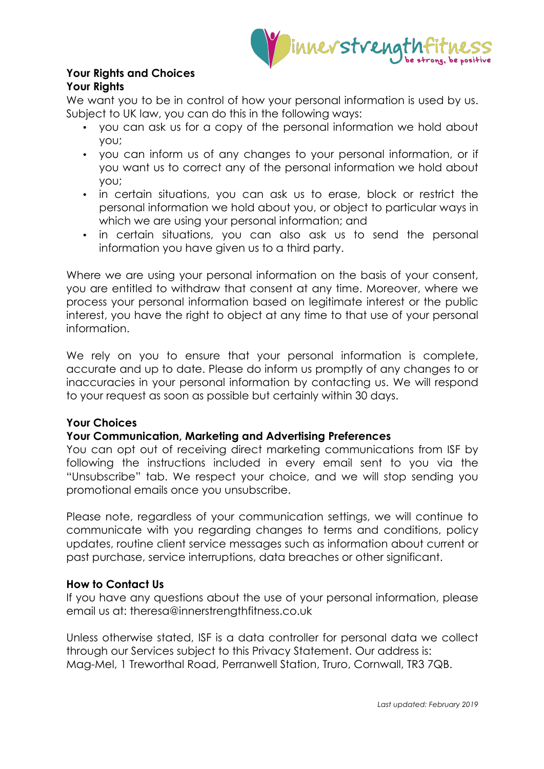

## **Your Rights and Choices Your Rights**

We want you to be in control of how your personal information is used by us. Subject to UK law, you can do this in the following ways:

- you can ask us for a copy of the personal information we hold about you;
- you can inform us of any changes to your personal information, or if you want us to correct any of the personal information we hold about you;
- in certain situations, you can ask us to erase, block or restrict the personal information we hold about you, or object to particular ways in which we are using your personal information; and
- in certain situations, you can also ask us to send the personal information you have given us to a third party.

Where we are using your personal information on the basis of your consent, you are entitled to withdraw that consent at any time. Moreover, where we process your personal information based on legitimate interest or the public interest, you have the right to object at any time to that use of your personal information.

We rely on you to ensure that your personal information is complete, accurate and up to date. Please do inform us promptly of any changes to or inaccuracies in your personal information by contacting us. We will respond to your request as soon as possible but certainly within 30 days.

# **Your Choices**

# **Your Communication, Marketing and Advertising Preferences**

You can opt out of receiving direct marketing communications from ISF by following the instructions included in every email sent to you via the "Unsubscribe" tab. We respect your choice, and we will stop sending you promotional emails once you unsubscribe.

Please note, regardless of your communication settings, we will continue to communicate with you regarding changes to terms and conditions, policy updates, routine client service messages such as information about current or past purchase, service interruptions, data breaches or other significant.

# **How to Contact Us**

If you have any questions about the use of your personal information, please email us at: theresa@innerstrengthfitness.co.uk

Unless otherwise stated, ISF is a data controller for personal data we collect through our Services subject to this Privacy Statement. Our address is: Mag-Mel, 1 Treworthal Road, Perranwell Station, Truro, Cornwall, TR3 7QB.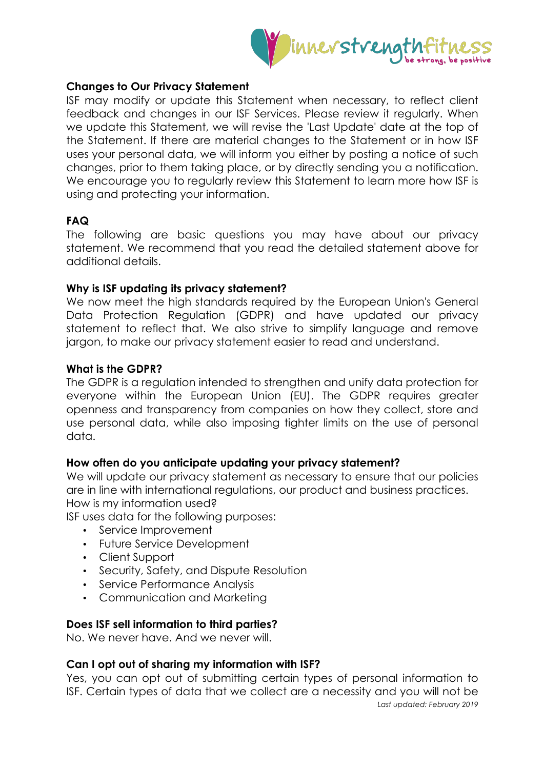

## **Changes to Our Privacy Statement**

ISF may modify or update this Statement when necessary, to reflect client feedback and changes in our ISF Services. Please review it regularly. When we update this Statement, we will revise the 'Last Update' date at the top of the Statement. If there are material changes to the Statement or in how ISF uses your personal data, we will inform you either by posting a notice of such changes, prior to them taking place, or by directly sending you a notification. We encourage you to regularly review this Statement to learn more how ISF is using and protecting your information.

# **FAQ**

The following are basic questions you may have about our privacy statement. We recommend that you read the detailed statement above for additional details.

## **Why is ISF updating its privacy statement?**

We now meet the high standards required by the European Union's General Data Protection Regulation (GDPR) and have updated our privacy statement to reflect that. We also strive to simplify language and remove jargon, to make our privacy statement easier to read and understand.

## **What is the GDPR?**

The GDPR is a regulation intended to strengthen and unify data protection for everyone within the European Union (EU). The GDPR requires greater openness and transparency from companies on how they collect, store and use personal data, while also imposing tighter limits on the use of personal data.

# **How often do you anticipate updating your privacy statement?**

We will update our privacy statement as necessary to ensure that our policies are in line with international regulations, our product and business practices. How is my information used?

ISF uses data for the following purposes:

- Service Improvement
- Future Service Development
- Client Support
- Security, Safety, and Dispute Resolution
- Service Performance Analysis
- Communication and Marketing

## **Does ISF sell information to third parties?**

No. We never have. And we never will.

# **Can I opt out of sharing my information with ISF?**

*Last updated: February 2019* Yes, you can opt out of submitting certain types of personal information to ISF. Certain types of data that we collect are a necessity and you will not be